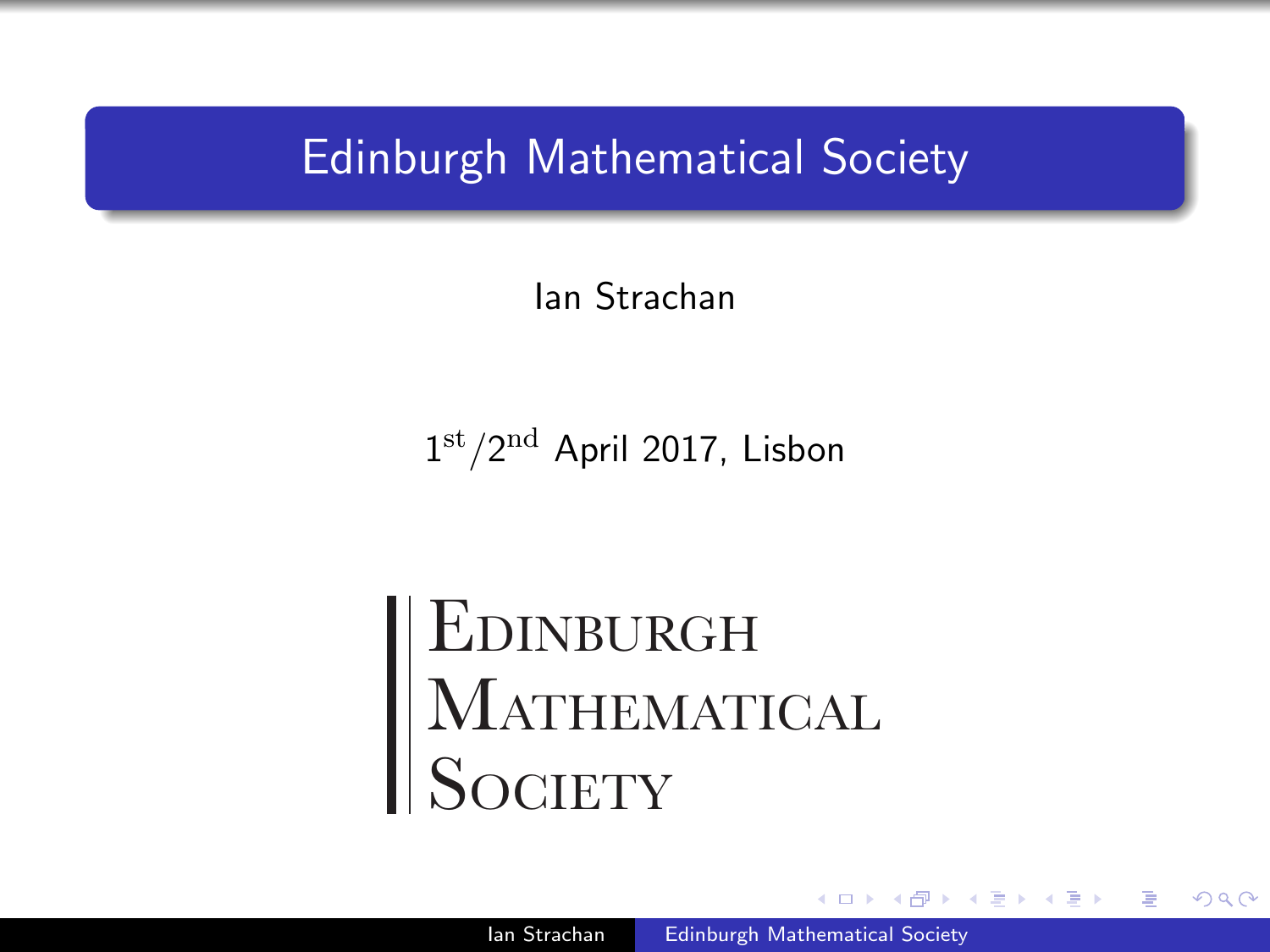### Edinburgh Mathematical Society

Ian Strachan

 $1<sup>st</sup>/2<sup>nd</sup>$  April 2017, Lisbon

EDINBURGH MATHEMATICAL **SOCIETY** 

<span id="page-0-0"></span> $\Omega$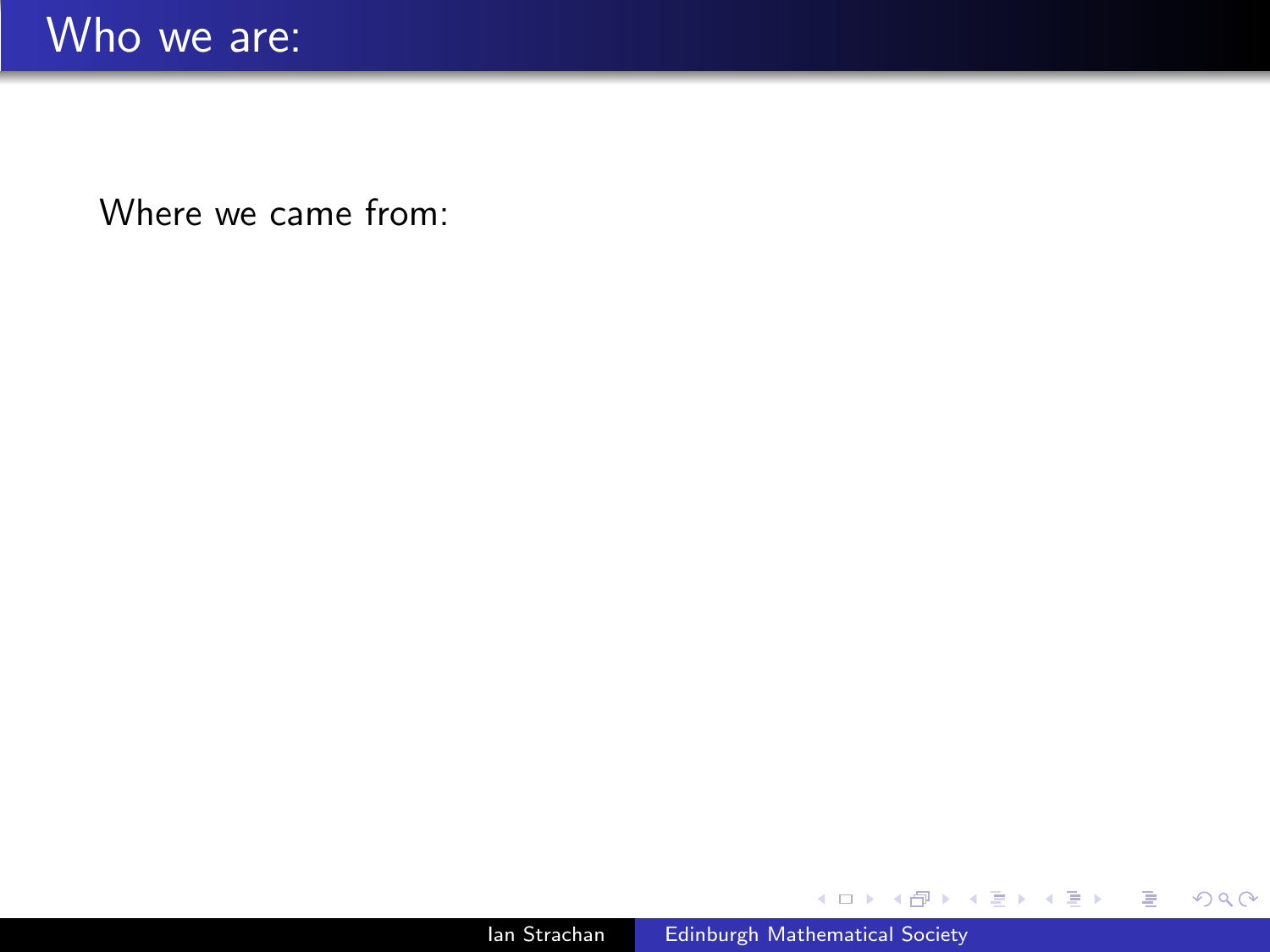メロメ メタメ メミメ

目

경제 ×.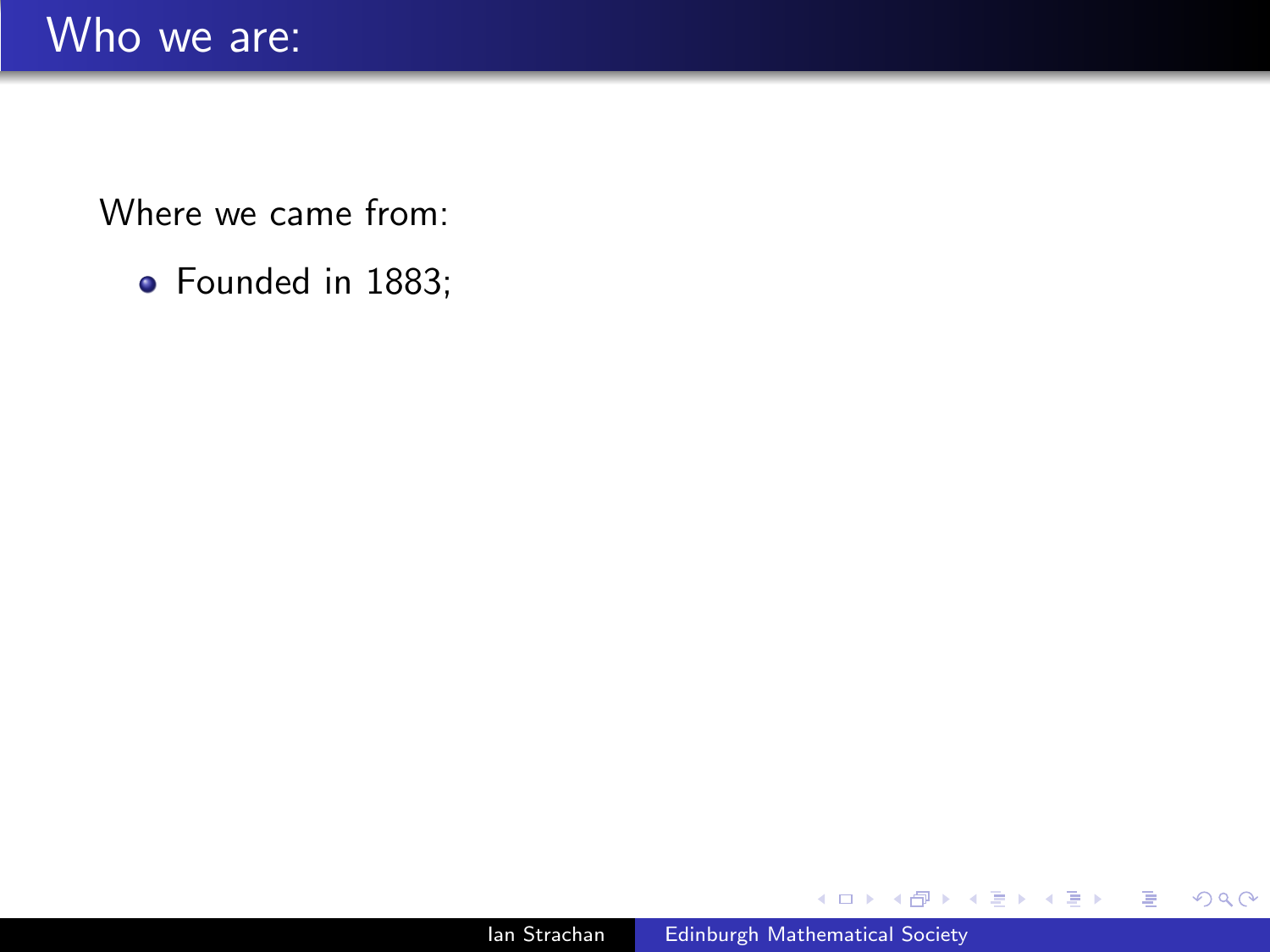• Founded in 1883;

**K ロ ト K 何 ト K ヨ ト** 

目

э  $\rightarrow$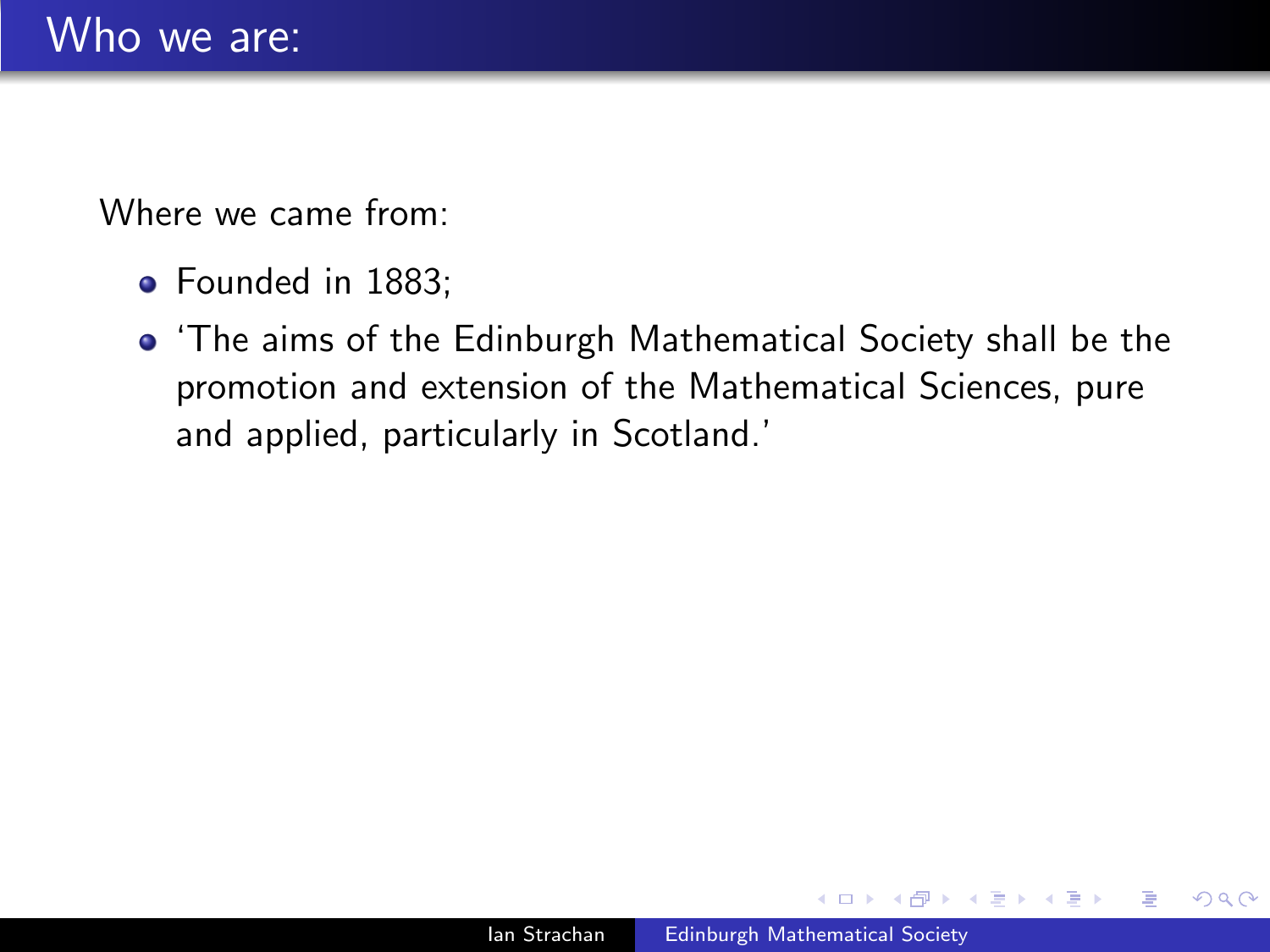- Founded in 1883:
- 'The aims of the Edinburgh Mathematical Society shall be the promotion and extension of the Mathematical Sciences, pure and applied, particularly in Scotland.'

 $\Omega$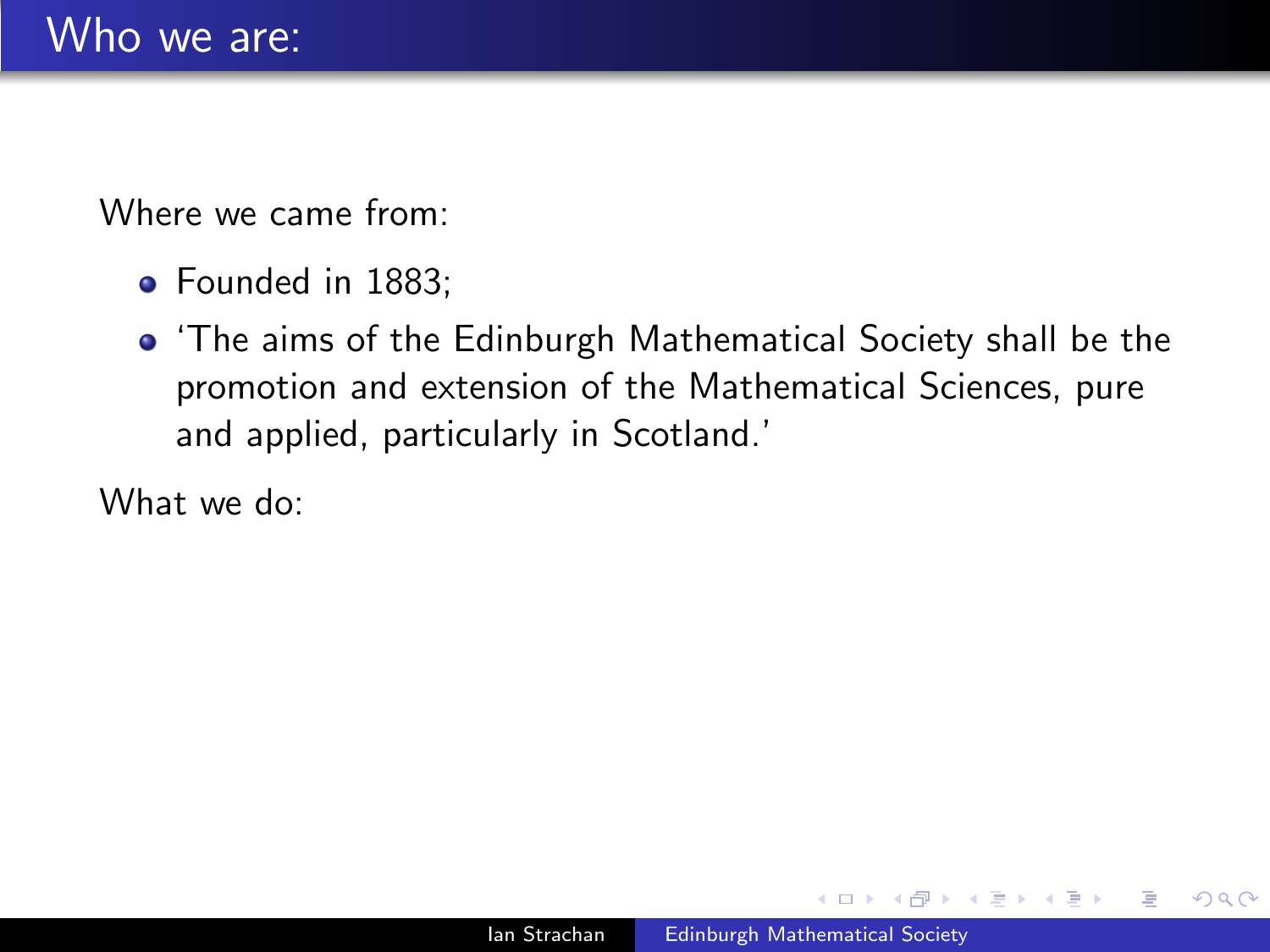- Founded in 1883:
- 'The aims of the Edinburgh Mathematical Society shall be the promotion and extension of the Mathematical Sciences, pure and applied, particularly in Scotland.'

What we do:

 $\Omega$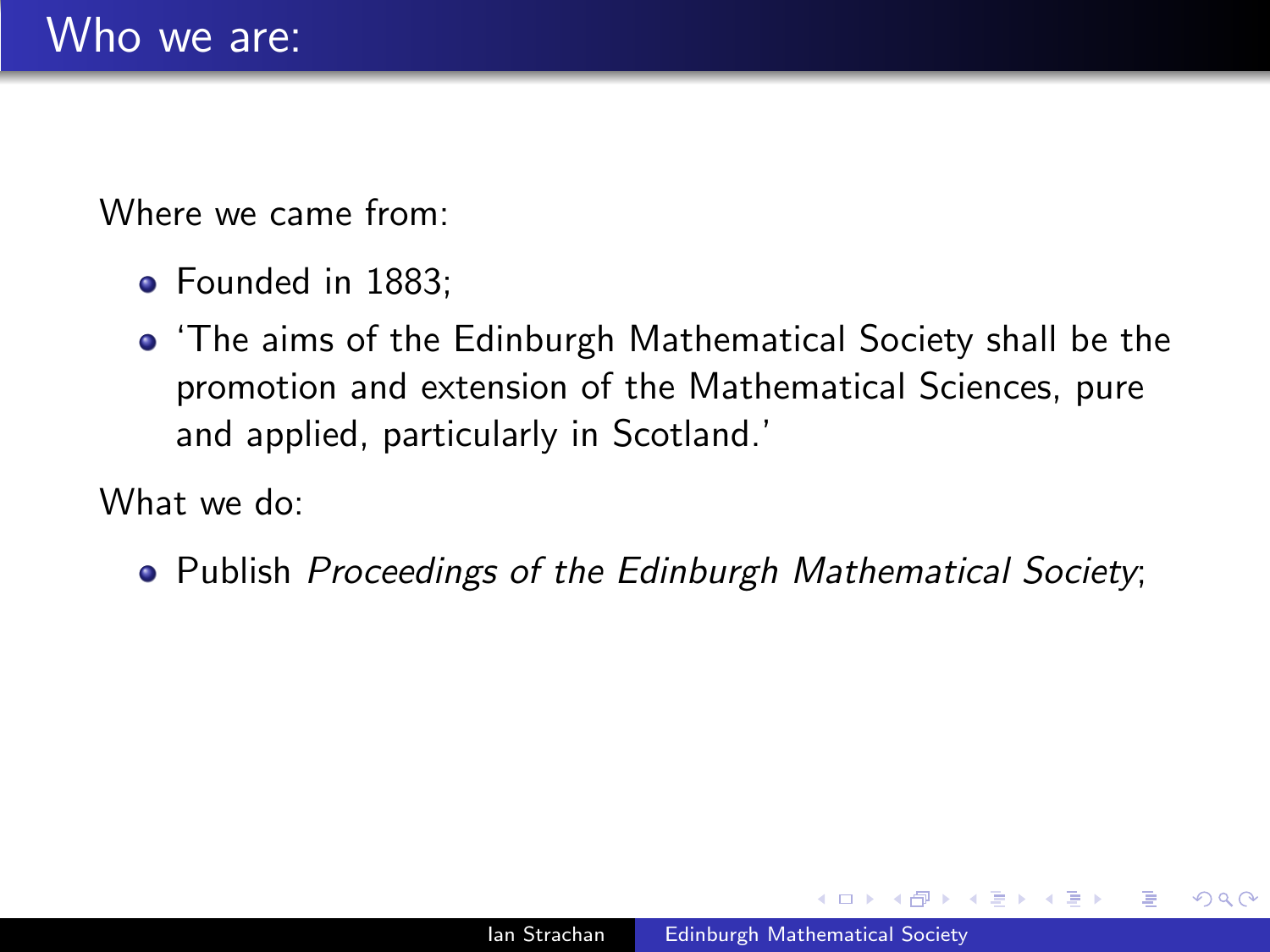- Founded in 1883:
- 'The aims of the Edinburgh Mathematical Society shall be the promotion and extension of the Mathematical Sciences, pure and applied, particularly in Scotland.'

What we do:

• Publish *Proceedings of the Edinburgh Mathematical Society*;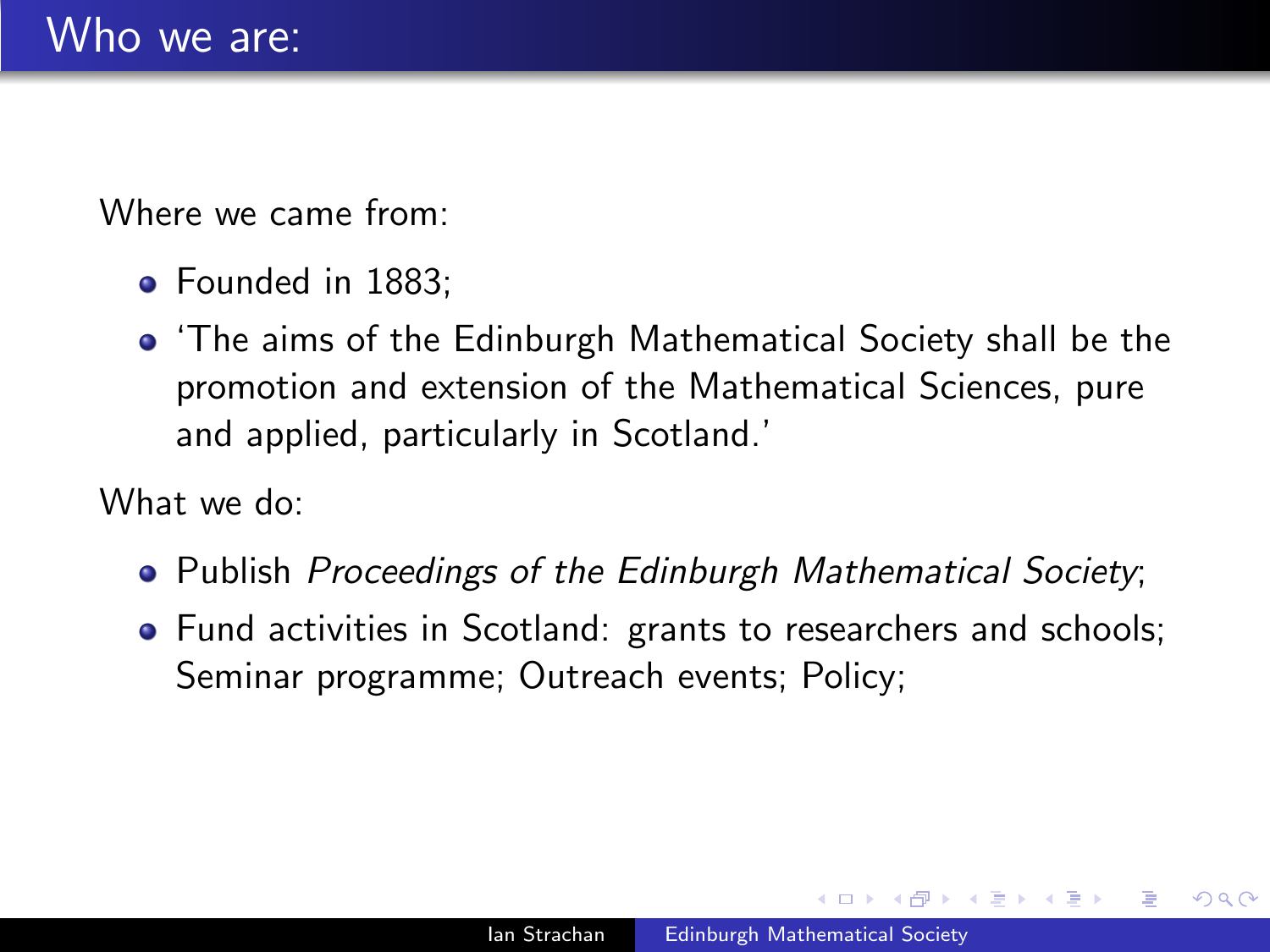- Founded in 1883:
- 'The aims of the Edinburgh Mathematical Society shall be the promotion and extension of the Mathematical Sciences, pure and applied, particularly in Scotland.'

What we do:

- Publish Proceedings of the Edinburgh Mathematical Society;
- Fund activities in Scotland: grants to researchers and schools; Seminar programme; Outreach events; Policy;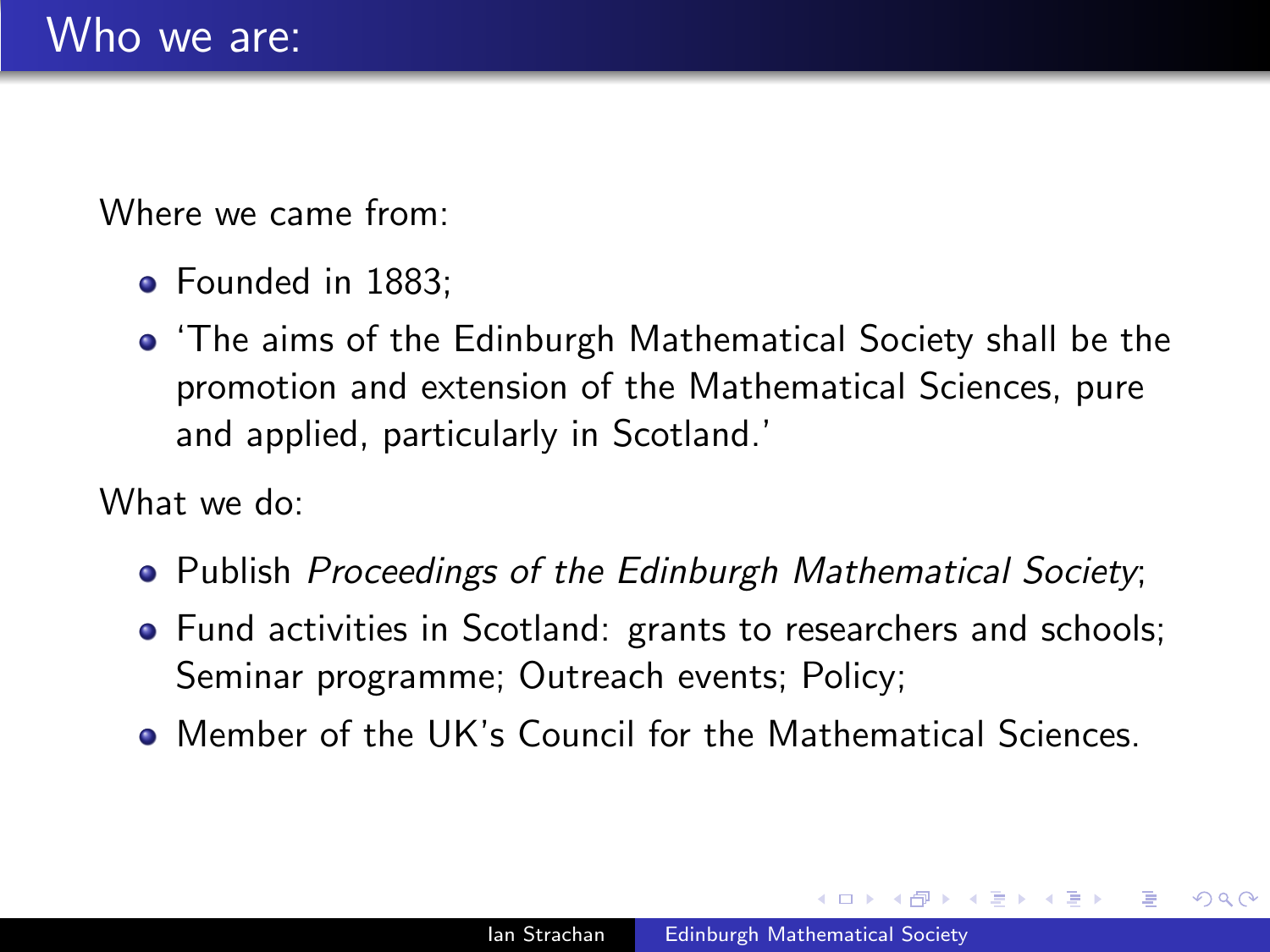- Founded in 1883:
- 'The aims of the Edinburgh Mathematical Society shall be the promotion and extension of the Mathematical Sciences, pure and applied, particularly in Scotland.'

What we do:

- Publish Proceedings of the Edinburgh Mathematical Society;
- Fund activities in Scotland: grants to researchers and schools; Seminar programme; Outreach events; Policy;
- Member of the UK's Council for the Mathematical Sciences.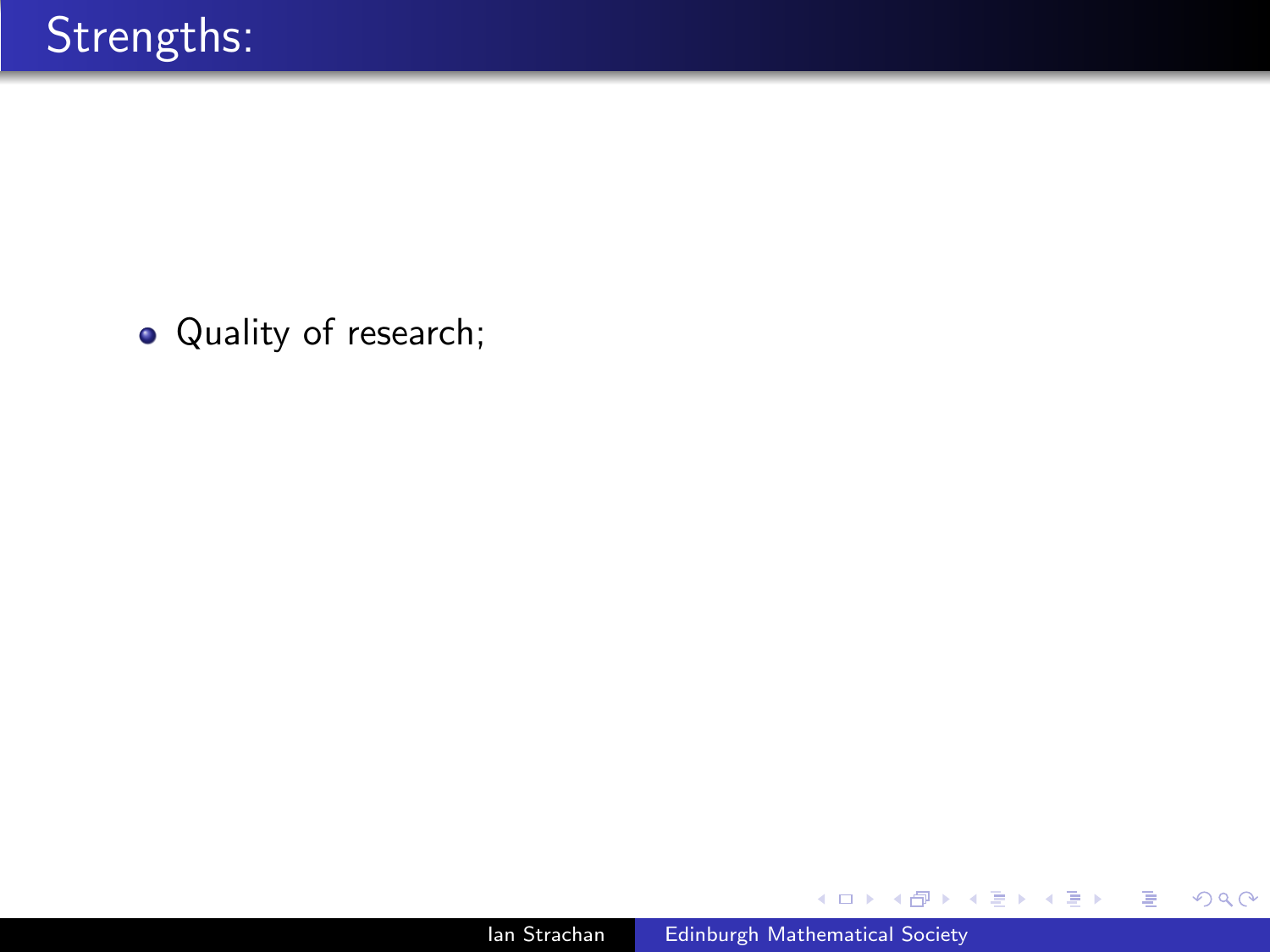• Quality of research;

4 0 8

同  $\,$ 4. 重

×

目

目  $\,$ 

Þ.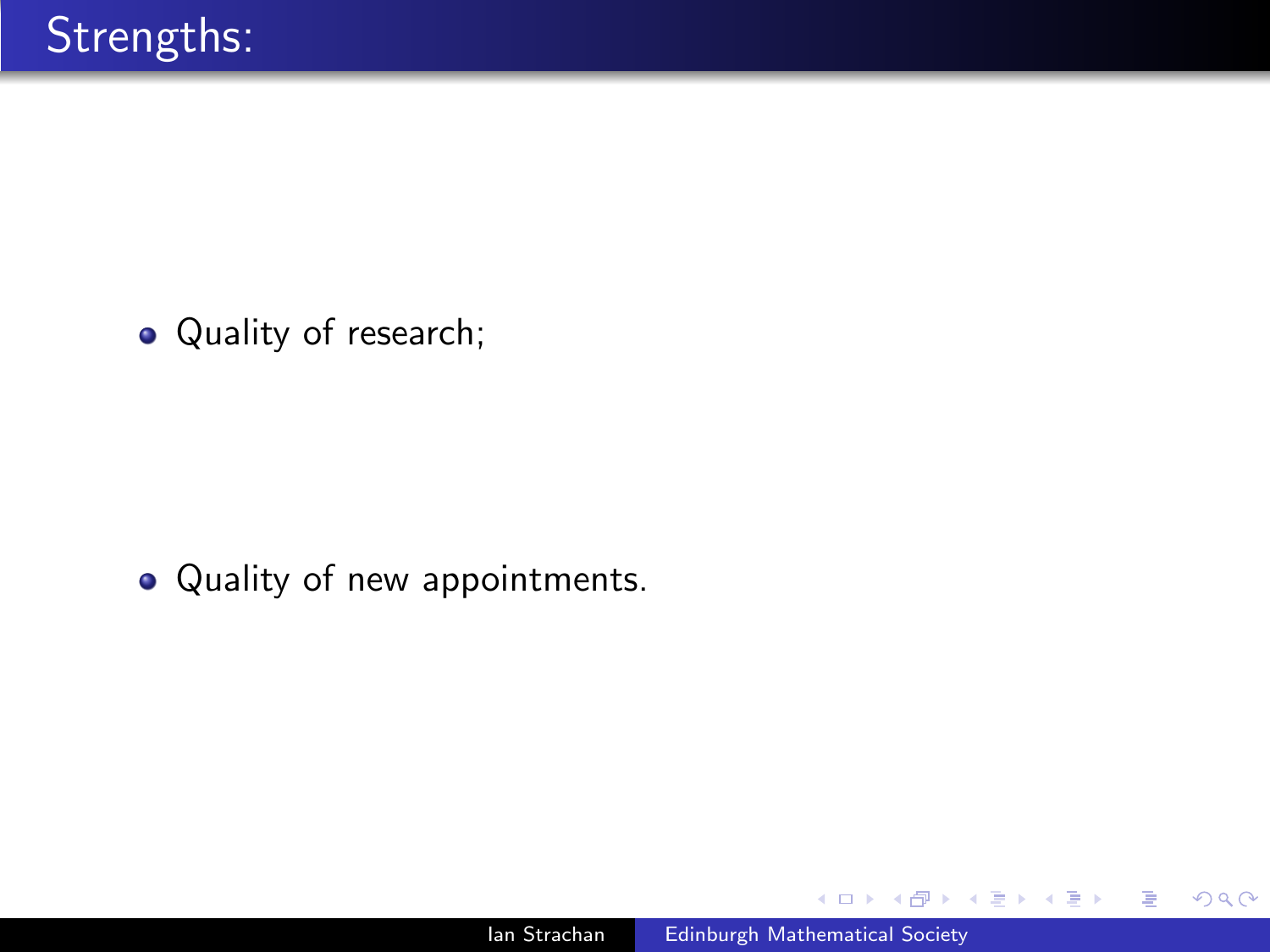• Quality of research;

• Quality of new appointments.

 $\leftarrow$ 

э

∍

э  $\rightarrow$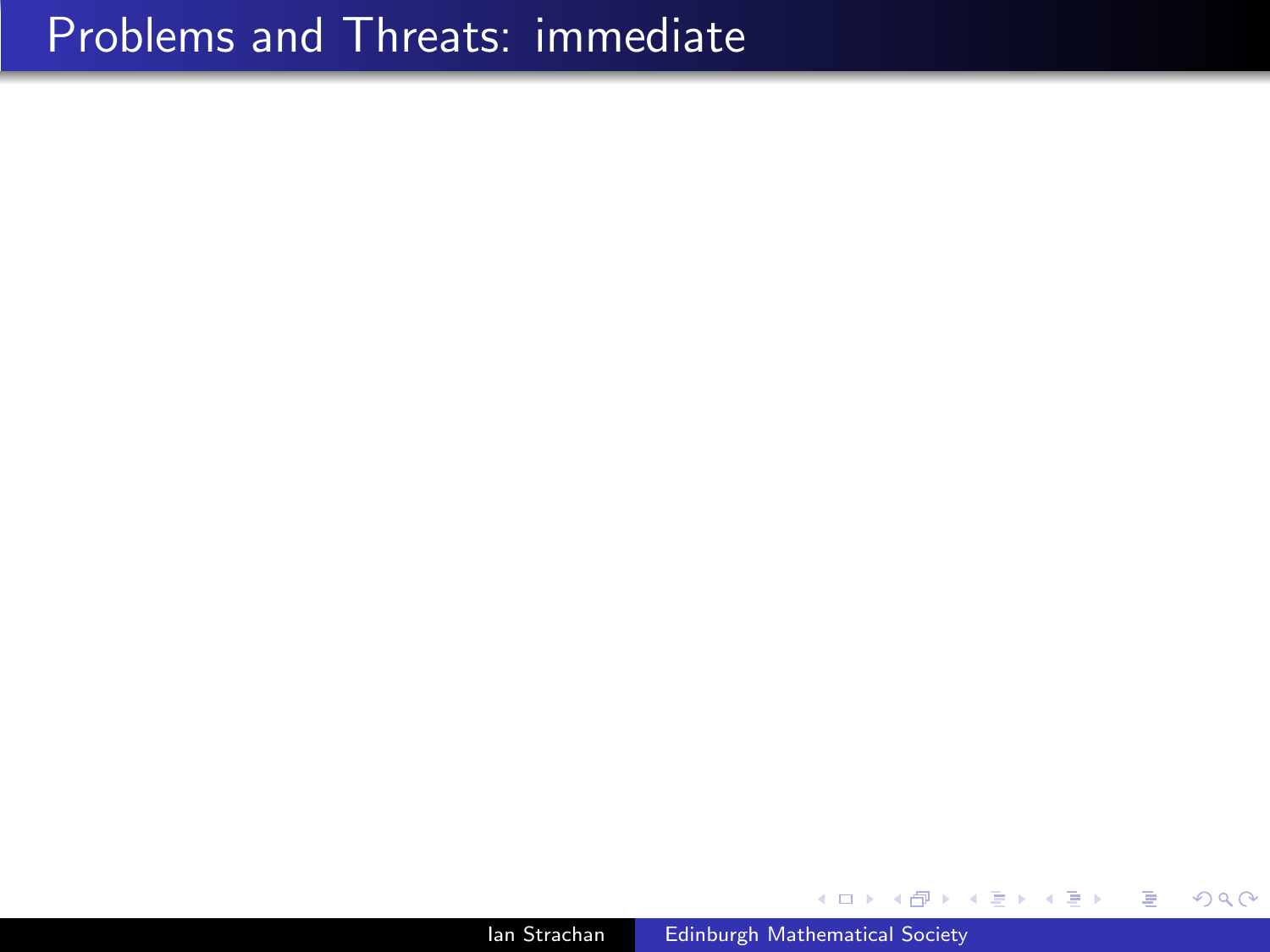## Problems and Threats: immediate

Ian Strachan [Edinburgh Mathematical Society](#page-0-0)

∢⊡

Ε

∍  $\rightarrow$ 

Ξ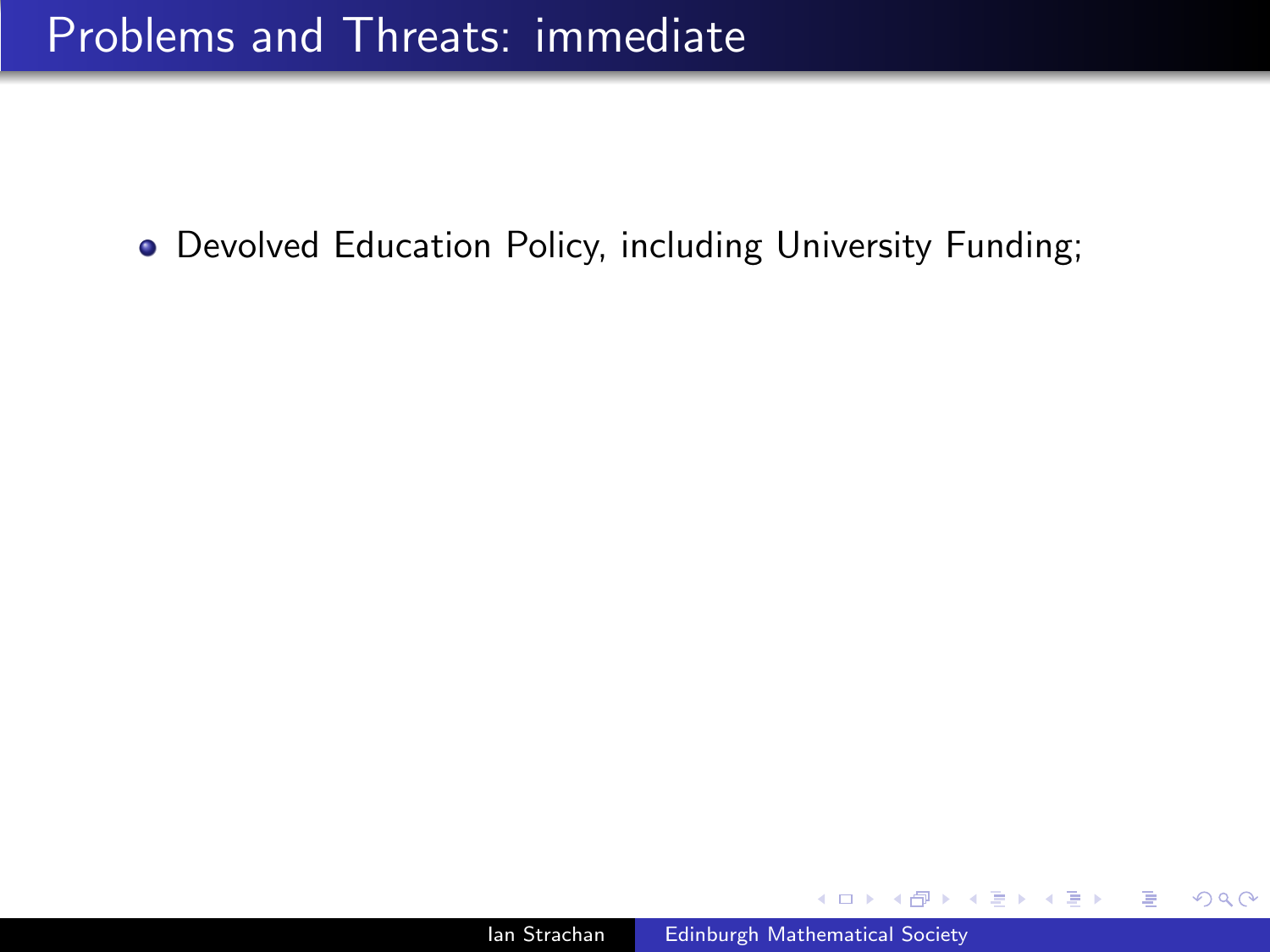∢∃⊁ ∢∄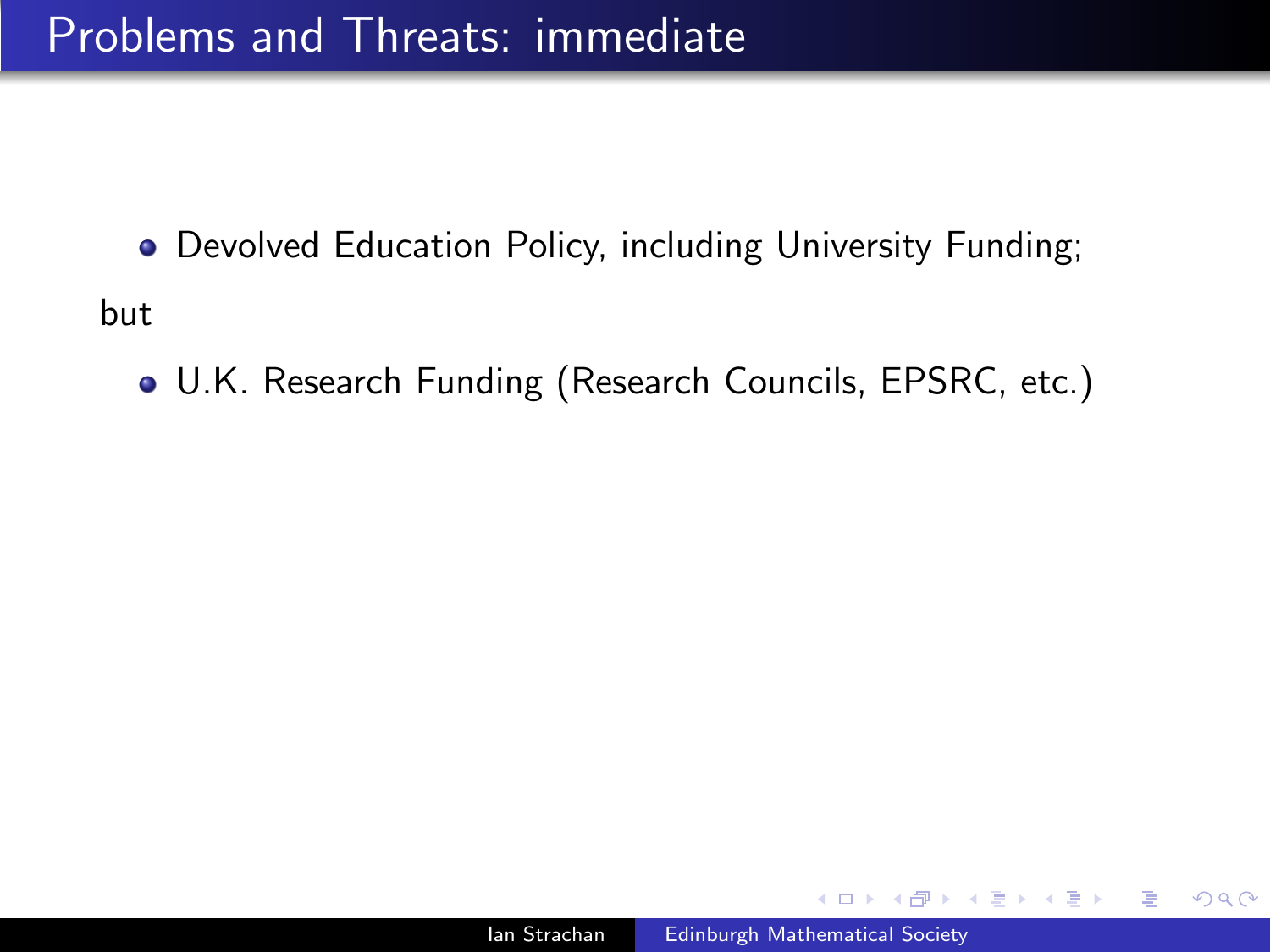- Devolved Education Policy, including University Funding; but
	- U.K. Research Funding (Research Councils, EPSRC, etc.)

つへへ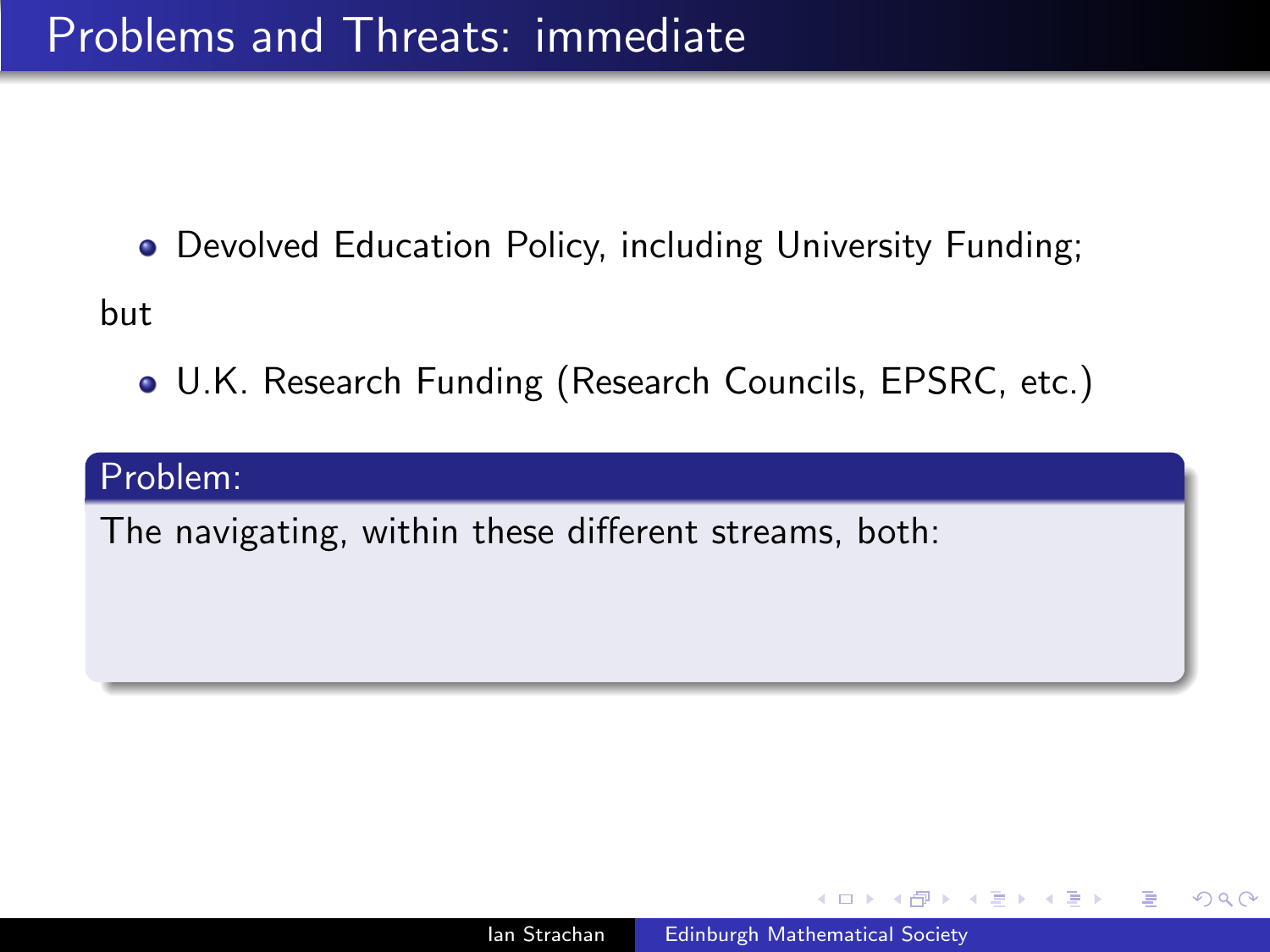but

U.K. Research Funding (Research Councils, EPSRC, etc.)

#### Problem:

The navigating, within these different streams, both: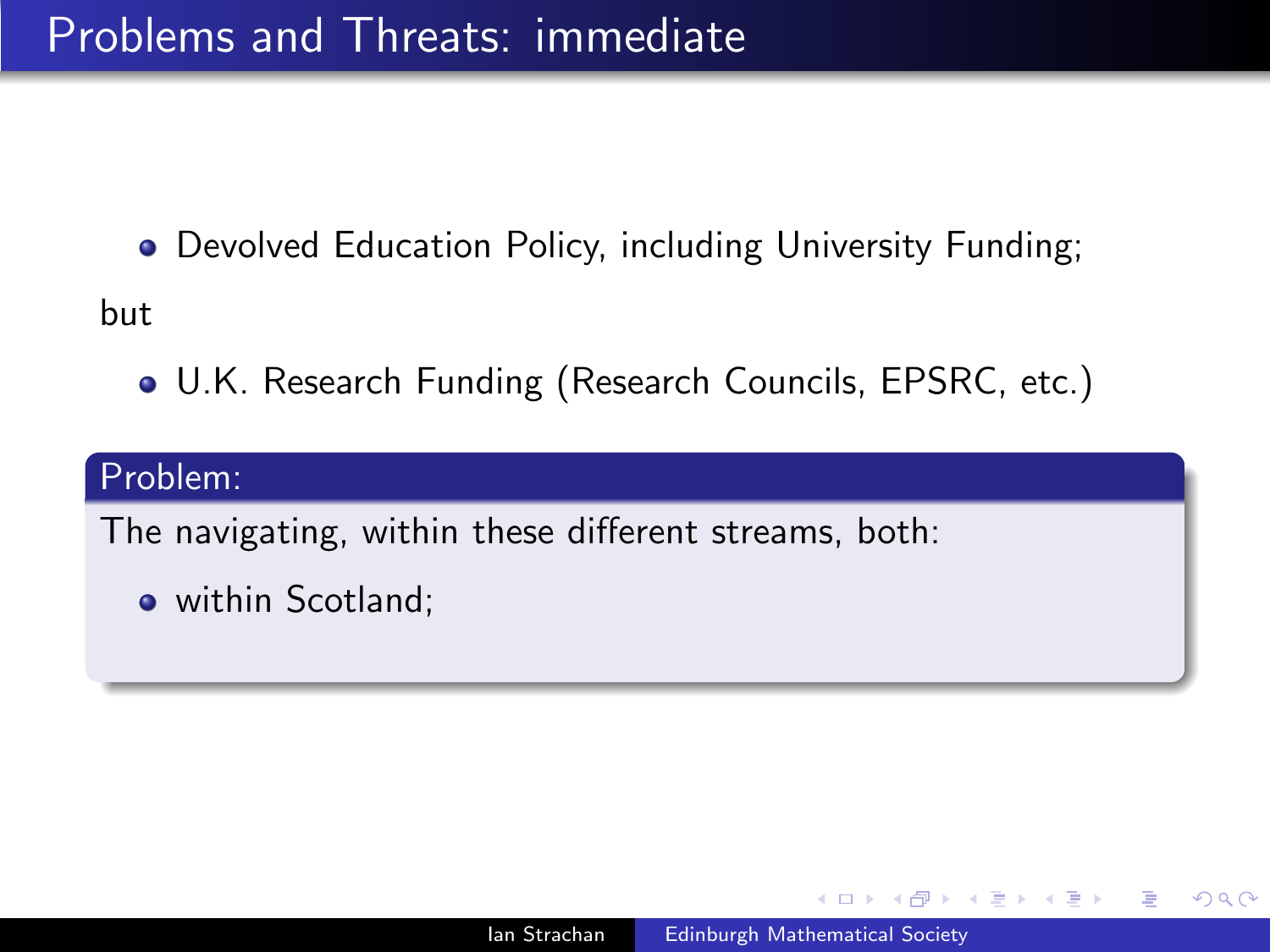but

U.K. Research Funding (Research Councils, EPSRC, etc.)

#### Problem:

The navigating, within these different streams, both:

• within Scotland;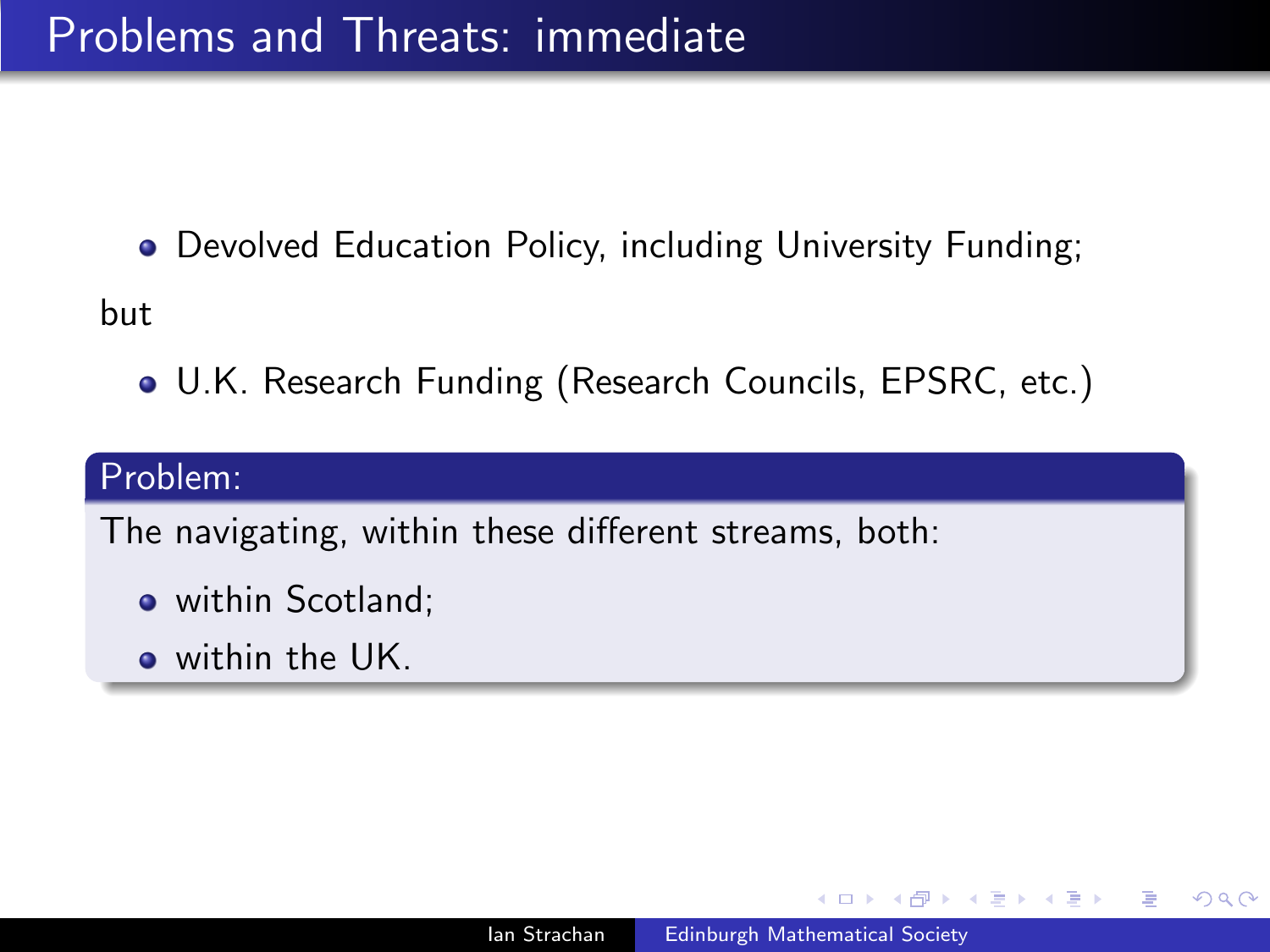but

U.K. Research Funding (Research Councils, EPSRC, etc.)

#### Problem:

The navigating, within these different streams, both:

- within Scotland:
- o within the UK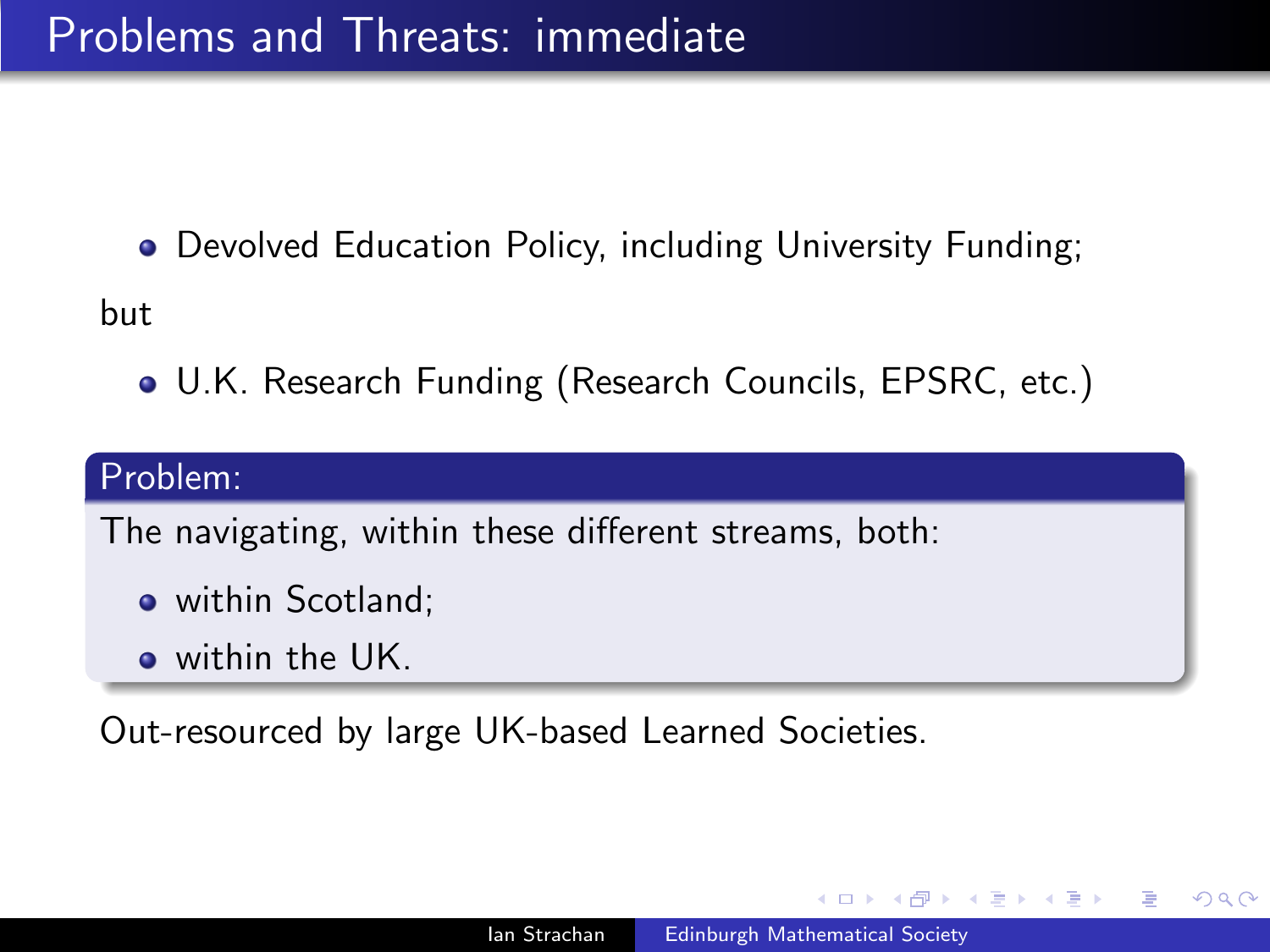but

U.K. Research Funding (Research Councils, EPSRC, etc.)

### Problem:

The navigating, within these different streams, both:

- within Scotland:
- o within the UK

Out-resourced by large UK-based Learned Societies.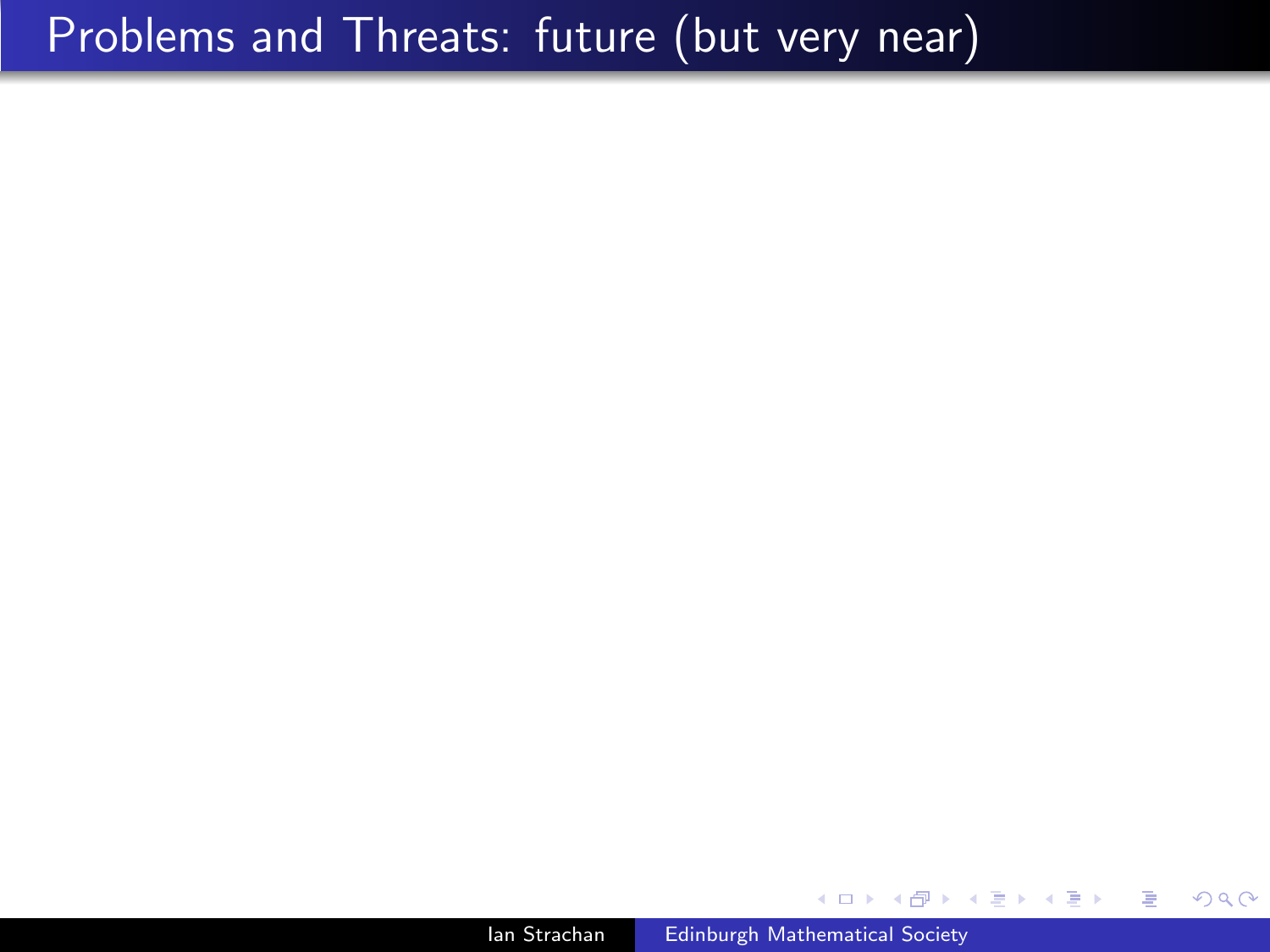## Problems and Threats: future (but very near)

Ian Strachan [Edinburgh Mathematical Society](#page-0-0)

 $299$ 

э  $\rightarrow$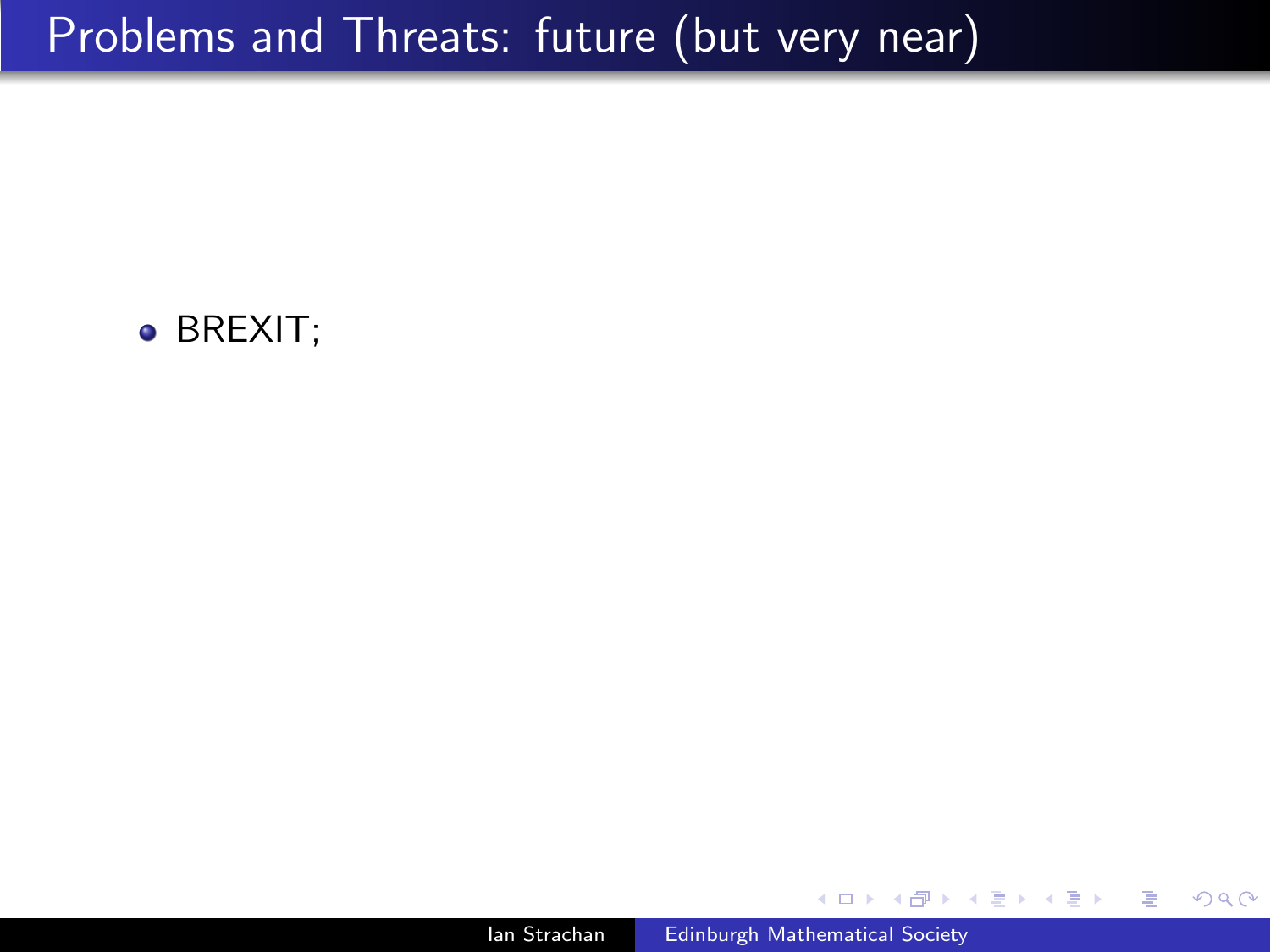# Problems and Threats: future (but very near)



Ð

 $299$ 

э

э

 $\rightarrow$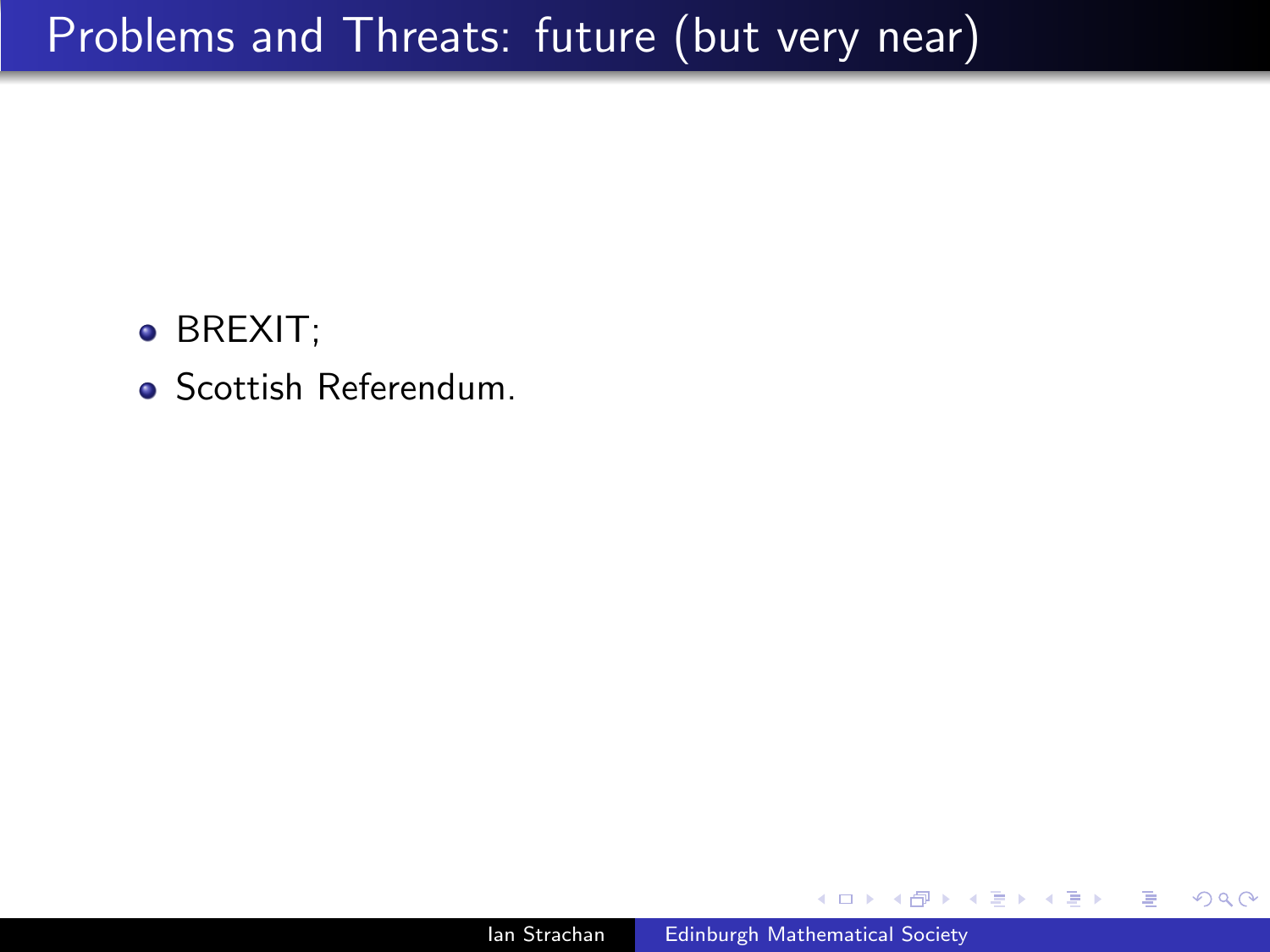- BREXIT;
- **Scottish Referendum.**

つくへ